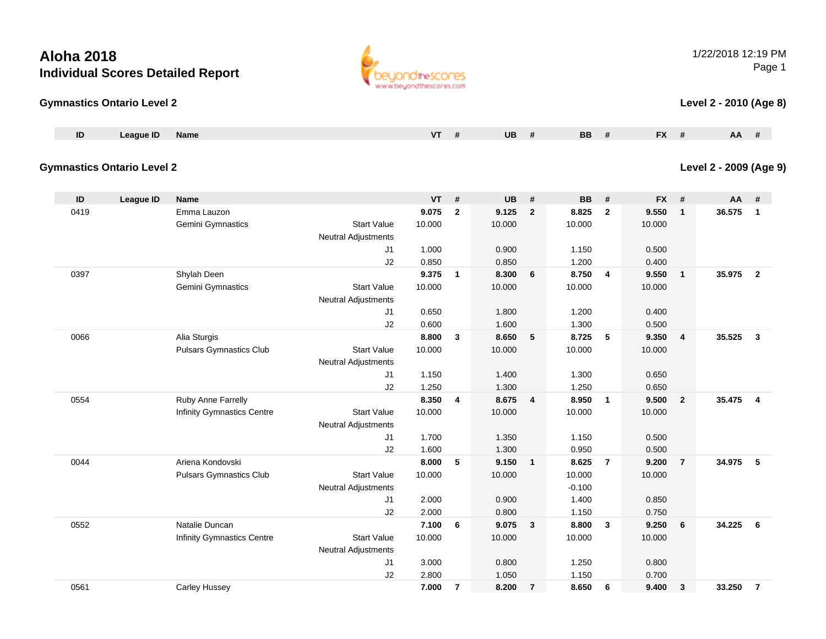## **Gymnastics Ontario Level 2**

| ப | AANIE | <b>Name</b> | . | UC | BB | $-1$<br>$\mathbf{r}$ | <b>AA</b> |
|---|-------|-------------|---|----|----|----------------------|-----------|
|   |       |             |   |    |    |                      |           |

## **Gymnastics Ontario Level 2**

| ID   | League ID | <b>Name</b>                    |                            | <b>VT</b> | #              | <b>UB</b> | #              | <b>BB</b> | #              | <b>FX</b> | #              | <b>AA</b> | #                       |
|------|-----------|--------------------------------|----------------------------|-----------|----------------|-----------|----------------|-----------|----------------|-----------|----------------|-----------|-------------------------|
| 0419 |           | Emma Lauzon                    |                            | 9.075     | $\mathbf{2}$   | 9.125     | $\overline{2}$ | 8.825     | $\overline{2}$ | 9.550     | $\mathbf{1}$   | 36.575    | $\overline{\mathbf{1}}$ |
|      |           | Gemini Gymnastics              | <b>Start Value</b>         | 10.000    |                | 10.000    |                | 10.000    |                | 10.000    |                |           |                         |
|      |           |                                | <b>Neutral Adjustments</b> |           |                |           |                |           |                |           |                |           |                         |
|      |           |                                | J1                         | 1.000     |                | 0.900     |                | 1.150     |                | 0.500     |                |           |                         |
|      |           |                                | J2                         | 0.850     |                | 0.850     |                | 1.200     |                | 0.400     |                |           |                         |
| 0397 |           | Shylah Deen                    |                            | 9.375     | $\mathbf{1}$   | 8.300     | 6              | 8.750     | 4              | 9.550     | $\mathbf{1}$   | 35.975 2  |                         |
|      |           | Gemini Gymnastics              | <b>Start Value</b>         | 10.000    |                | 10.000    |                | 10.000    |                | 10.000    |                |           |                         |
|      |           |                                | Neutral Adjustments        |           |                |           |                |           |                |           |                |           |                         |
|      |           |                                | J1                         | 0.650     |                | 1.800     |                | 1.200     |                | 0.400     |                |           |                         |
|      |           |                                | J2                         | 0.600     |                | 1.600     |                | 1.300     |                | 0.500     |                |           |                         |
| 0066 |           | Alia Sturgis                   |                            | 8.800     | 3              | 8.650     | 5              | 8.725     | 5              | 9.350     | 4              | 35.525 3  |                         |
|      |           | <b>Pulsars Gymnastics Club</b> | <b>Start Value</b>         | 10.000    |                | 10.000    |                | 10.000    |                | 10.000    |                |           |                         |
|      |           |                                | <b>Neutral Adjustments</b> |           |                |           |                |           |                |           |                |           |                         |
|      |           |                                | J1                         | 1.150     |                | 1.400     |                | 1.300     |                | 0.650     |                |           |                         |
|      |           |                                | J2                         | 1.250     |                | 1.300     |                | 1.250     |                | 0.650     |                |           |                         |
| 0554 |           | Ruby Anne Farrelly             |                            | 8.350     | 4              | 8.675     | $\overline{4}$ | 8.950     | $\mathbf{1}$   | 9.500     | $\overline{2}$ | 35.475    | $\overline{4}$          |
|      |           | Infinity Gymnastics Centre     | <b>Start Value</b>         | 10.000    |                | 10.000    |                | 10.000    |                | 10.000    |                |           |                         |
|      |           |                                | <b>Neutral Adjustments</b> |           |                |           |                |           |                |           |                |           |                         |
|      |           |                                | J1                         | 1.700     |                | 1.350     |                | 1.150     |                | 0.500     |                |           |                         |
|      |           |                                | J2                         | 1.600     |                | 1.300     |                | 0.950     |                | 0.500     |                |           |                         |
| 0044 |           | Ariena Kondovski               |                            | 8.000     | 5              | 9.150     | $\mathbf{1}$   | 8.625     | $\overline{7}$ | 9.200     | $\overline{7}$ | 34.975    | 5                       |
|      |           | <b>Pulsars Gymnastics Club</b> | <b>Start Value</b>         | 10.000    |                | 10.000    |                | 10.000    |                | 10.000    |                |           |                         |
|      |           |                                | Neutral Adjustments        |           |                |           |                | $-0.100$  |                |           |                |           |                         |
|      |           |                                | J1                         | 2.000     |                | 0.900     |                | 1.400     |                | 0.850     |                |           |                         |
|      |           |                                | J2                         | 2.000     |                | 0.800     |                | 1.150     |                | 0.750     |                |           |                         |
| 0552 |           | Natalie Duncan                 |                            | 7.100     | 6              | 9.075     | 3              | 8.800     | 3              | 9.250     | 6              | 34.225 6  |                         |
|      |           | Infinity Gymnastics Centre     | <b>Start Value</b>         | 10.000    |                | 10.000    |                | 10.000    |                | 10.000    |                |           |                         |
|      |           |                                | <b>Neutral Adjustments</b> |           |                |           |                |           |                |           |                |           |                         |
|      |           |                                | J <sub>1</sub>             | 3.000     |                | 0.800     |                | 1.250     |                | 0.800     |                |           |                         |
|      |           |                                | J2                         | 2.800     |                | 1.050     |                | 1.150     |                | 0.700     |                |           |                         |
| 0561 |           | <b>Carley Hussey</b>           |                            | 7.000     | $\overline{7}$ | 8.200     | $\overline{7}$ | 8.650     | 6              | 9.400     | 3              | 33.250    | $\overline{7}$          |



1/22/2018 12:19 PMPage 1

## **Level 2 - 2010 (Age 8)**

## **Level 2 - 2009 (Age 9)**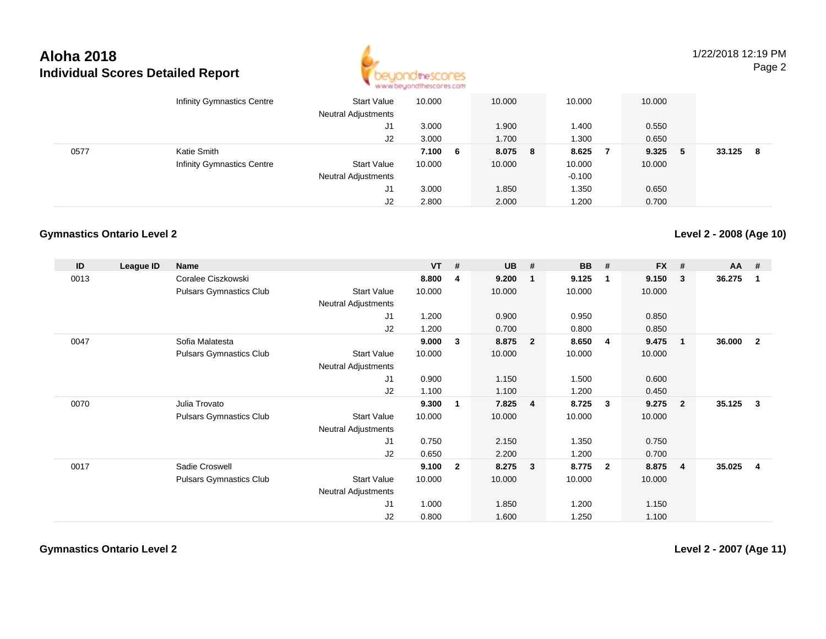

1/22/2018 12:19 PMPage 2

|      | <b>Infinity Gymnastics Centre</b> | Start Value<br><b>Neutral Adjustments</b> | 10.000  | 10.000  | 10.000   |                | 10.000 |    |        |    |
|------|-----------------------------------|-------------------------------------------|---------|---------|----------|----------------|--------|----|--------|----|
|      |                                   | J1                                        | 3.000   | .900    | 1.400    |                | 0.550  |    |        |    |
|      |                                   | J2                                        | 3.000   | 1.700   | 1.300    |                | 0.650  |    |        |    |
| 0577 | Katie Smith                       |                                           | 7.100 6 | 8.075 8 | 8.625    | $\overline{7}$ | 9.325  | -5 | 33.125 | -8 |
|      | Infinity Gymnastics Centre        | <b>Start Value</b>                        | 10.000  | 10.000  | 10.000   |                | 10.000 |    |        |    |
|      |                                   | <b>Neutral Adjustments</b>                |         |         | $-0.100$ |                |        |    |        |    |
|      |                                   | J1                                        | 3.000   | 1.850   | 1.350    |                | 0.650  |    |        |    |
|      |                                   | J2                                        | 2.800   | 2.000   | 1.200    |                | 0.700  |    |        |    |

## **Gymnastics Ontario Level 2**

**Level 2 - 2008 (Age 10)**

| ID   | League ID | <b>Name</b>                    |                     | $VT$ # |              | <b>UB</b> | #                       | <b>BB</b> | #              | <b>FX</b> | #              | $AA$ # |                |
|------|-----------|--------------------------------|---------------------|--------|--------------|-----------|-------------------------|-----------|----------------|-----------|----------------|--------|----------------|
| 0013 |           | Coralee Ciszkowski             |                     | 8.800  | 4            | 9.200     | $\mathbf 1$             | 9.125     | -1             | 9.150     | 3              | 36.275 | -1             |
|      |           | <b>Pulsars Gymnastics Club</b> | <b>Start Value</b>  | 10.000 |              | 10.000    |                         | 10.000    |                | 10.000    |                |        |                |
|      |           |                                | Neutral Adjustments |        |              |           |                         |           |                |           |                |        |                |
|      |           |                                | J1                  | 1.200  |              | 0.900     |                         | 0.950     |                | 0.850     |                |        |                |
|      |           |                                | J2                  | 1.200  |              | 0.700     |                         | 0.800     |                | 0.850     |                |        |                |
| 0047 |           | Sofia Malatesta                |                     | 9.000  | 3            | 8.875     | $\overline{\mathbf{2}}$ | 8.650     | $\overline{4}$ | 9.475     | $\mathbf 1$    | 36.000 | $\overline{2}$ |
|      |           | <b>Pulsars Gymnastics Club</b> | <b>Start Value</b>  | 10.000 |              | 10.000    |                         | 10.000    |                | 10.000    |                |        |                |
|      |           |                                | Neutral Adjustments |        |              |           |                         |           |                |           |                |        |                |
|      |           |                                | J <sub>1</sub>      | 0.900  |              | 1.150     |                         | 1.500     |                | 0.600     |                |        |                |
|      |           |                                | J2                  | 1.100  |              | 1.100     |                         | 1.200     |                | 0.450     |                |        |                |
| 0070 |           | Julia Trovato                  |                     | 9.300  | 1            | 7.825     | $\overline{4}$          | 8.725     | $\mathbf{3}$   | 9.275     | $\overline{2}$ | 35.125 | $\mathbf{3}$   |
|      |           | <b>Pulsars Gymnastics Club</b> | <b>Start Value</b>  | 10.000 |              | 10.000    |                         | 10.000    |                | 10.000    |                |        |                |
|      |           |                                | Neutral Adjustments |        |              |           |                         |           |                |           |                |        |                |
|      |           |                                | J1                  | 0.750  |              | 2.150     |                         | 1.350     |                | 0.750     |                |        |                |
|      |           |                                | J2                  | 0.650  |              | 2.200     |                         | 1.200     |                | 0.700     |                |        |                |
| 0017 |           | Sadie Croswell                 |                     | 9.100  | $\mathbf{2}$ | 8.275     | $\mathbf{3}$            | 8.775     | $\overline{2}$ | 8.875     | $\overline{4}$ | 35.025 | 4              |
|      |           | <b>Pulsars Gymnastics Club</b> | <b>Start Value</b>  | 10.000 |              | 10.000    |                         | 10.000    |                | 10.000    |                |        |                |
|      |           |                                | Neutral Adjustments |        |              |           |                         |           |                |           |                |        |                |
|      |           |                                | J1                  | 1.000  |              | 1.850     |                         | 1.200     |                | 1.150     |                |        |                |
|      |           |                                | J <sub>2</sub>      | 0.800  |              | 1.600     |                         | 1.250     |                | 1.100     |                |        |                |

**Gymnastics Ontario Level 2**

**Level 2 - 2007 (Age 11)**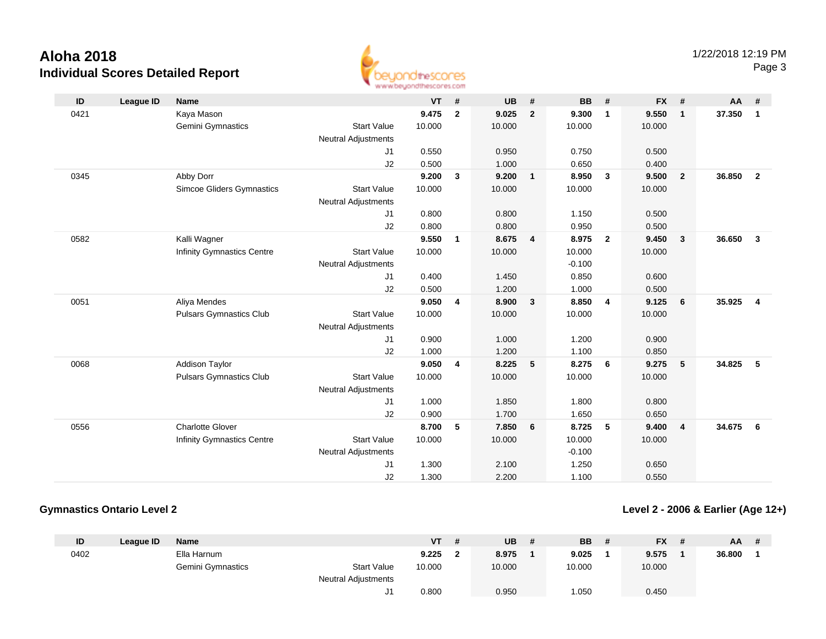

| ID   | <b>League ID</b> | <b>Name</b>                      |                            | <b>VT</b> | $\pmb{\#}$     | <b>UB</b> | #              | <b>BB</b> | #                       | <b>FX</b> | #                       | <b>AA</b> | #                       |
|------|------------------|----------------------------------|----------------------------|-----------|----------------|-----------|----------------|-----------|-------------------------|-----------|-------------------------|-----------|-------------------------|
| 0421 |                  | Kaya Mason                       |                            | 9.475     | $\overline{2}$ | 9.025     | $\overline{2}$ | 9.300     | $\overline{1}$          | 9.550     | $\mathbf{1}$            | 37.350    | $\mathbf{1}$            |
|      |                  | Gemini Gymnastics                | <b>Start Value</b>         | 10.000    |                | 10.000    |                | 10.000    |                         | 10.000    |                         |           |                         |
|      |                  |                                  | <b>Neutral Adjustments</b> |           |                |           |                |           |                         |           |                         |           |                         |
|      |                  |                                  | J1                         | 0.550     |                | 0.950     |                | 0.750     |                         | 0.500     |                         |           |                         |
|      |                  |                                  | J2                         | 0.500     |                | 1.000     |                | 0.650     |                         | 0.400     |                         |           |                         |
| 0345 |                  | Abby Dorr                        |                            | 9.200     | 3              | 9.200     | $\mathbf{1}$   | 8.950     | $\overline{\mathbf{3}}$ | 9.500     | $\overline{2}$          | 36.850    | $\overline{2}$          |
|      |                  | <b>Simcoe Gliders Gymnastics</b> | <b>Start Value</b>         | 10.000    |                | 10.000    |                | 10.000    |                         | 10.000    |                         |           |                         |
|      |                  |                                  | <b>Neutral Adjustments</b> |           |                |           |                |           |                         |           |                         |           |                         |
|      |                  |                                  | J1                         | 0.800     |                | 0.800     |                | 1.150     |                         | 0.500     |                         |           |                         |
|      |                  |                                  | J2                         | 0.800     |                | 0.800     |                | 0.950     |                         | 0.500     |                         |           |                         |
| 0582 |                  | Kalli Wagner                     |                            | 9.550     | $\mathbf{1}$   | 8.675     | $\overline{4}$ | 8.975     | $\overline{2}$          | 9.450     | $\overline{\mathbf{3}}$ | 36.650    | 3                       |
|      |                  | Infinity Gymnastics Centre       | <b>Start Value</b>         | 10.000    |                | 10.000    |                | 10.000    |                         | 10.000    |                         |           |                         |
|      |                  |                                  | <b>Neutral Adjustments</b> |           |                |           |                | $-0.100$  |                         |           |                         |           |                         |
|      |                  |                                  | J1                         | 0.400     |                | 1.450     |                | 0.850     |                         | 0.600     |                         |           |                         |
|      |                  |                                  | J2                         | 0.500     |                | 1.200     |                | 1.000     |                         | 0.500     |                         |           |                         |
| 0051 |                  | Aliya Mendes                     |                            | 9.050     | 4              | 8.900     | $\mathbf{3}$   | 8.850     | $\overline{4}$          | 9.125     | 6                       | 35.925    | $\overline{\mathbf{4}}$ |
|      |                  | <b>Pulsars Gymnastics Club</b>   | <b>Start Value</b>         | 10.000    |                | 10.000    |                | 10.000    |                         | 10.000    |                         |           |                         |
|      |                  |                                  | <b>Neutral Adjustments</b> |           |                |           |                |           |                         |           |                         |           |                         |
|      |                  |                                  | J1                         | 0.900     |                | 1.000     |                | 1.200     |                         | 0.900     |                         |           |                         |
|      |                  |                                  | J2                         | 1.000     |                | 1.200     |                | 1.100     |                         | 0.850     |                         |           |                         |
| 0068 |                  | <b>Addison Taylor</b>            |                            | 9.050     | 4              | 8.225     | 5              | 8.275     | 6                       | 9.275     | 5                       | 34.825    | 5                       |
|      |                  | <b>Pulsars Gymnastics Club</b>   | <b>Start Value</b>         | 10.000    |                | 10.000    |                | 10.000    |                         | 10.000    |                         |           |                         |
|      |                  |                                  | <b>Neutral Adjustments</b> |           |                |           |                |           |                         |           |                         |           |                         |
|      |                  |                                  | J1                         | 1.000     |                | 1.850     |                | 1.800     |                         | 0.800     |                         |           |                         |
|      |                  |                                  | J2                         | 0.900     |                | 1.700     |                | 1.650     |                         | 0.650     |                         |           |                         |
| 0556 |                  | <b>Charlotte Glover</b>          |                            | 8.700     | 5              | 7.850     | 6              | 8.725     | 5                       | 9.400     | $\overline{4}$          | 34.675    | 6                       |
|      |                  | Infinity Gymnastics Centre       | <b>Start Value</b>         | 10.000    |                | 10.000    |                | 10.000    |                         | 10.000    |                         |           |                         |
|      |                  |                                  | <b>Neutral Adjustments</b> |           |                |           |                | $-0.100$  |                         |           |                         |           |                         |
|      |                  |                                  | J1                         | 1.300     |                | 2.100     |                | 1.250     |                         | 0.650     |                         |           |                         |
|      |                  |                                  | J2                         | 1.300     |                | 2.200     |                | 1.100     |                         | 0.550     |                         |           |                         |

## **Gymnastics Ontario Level 2**

**Level 2 - 2006 & Earlier (Age 12+)**

| ID   | League ID | <b>Name</b>       |                            | VT     | <b>UB</b> | <b>BB</b> | <b>FX</b> | <b>AA</b> | # |
|------|-----------|-------------------|----------------------------|--------|-----------|-----------|-----------|-----------|---|
| 0402 |           | Ella Harnum       |                            | 9.225  | 8.975     | 9.025     | 9.575     | 36.800    |   |
|      |           | Gemini Gymnastics | <b>Start Value</b>         | 10.000 | 10.000    | 10.000    | 10.000    |           |   |
|      |           |                   | <b>Neutral Adjustments</b> |        |           |           |           |           |   |
|      |           |                   | 11.                        | 0.800  | 0.950     | 1.050     | 0.450     |           |   |